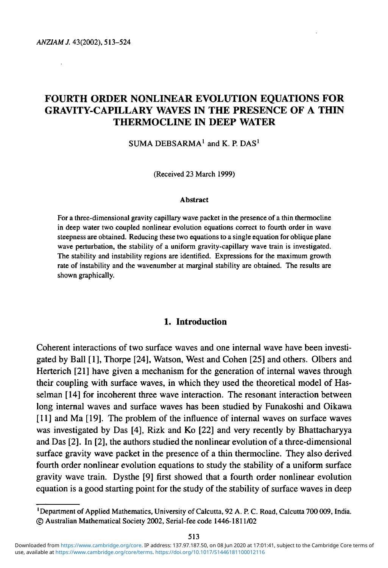*ANZIAMJ.* 43(2002), 513-524

# FOURTH ORDER NONLINEAR EVOLUTION EQUATIONS FOR GRAVITY-CAPILLARY WAVES IN THE PRESENCE OF A THIN THERMOCLINE IN DEEP WATER

SUMA DEBSARMA<sup>1</sup> and K. P. DAS<sup>1</sup>

(Received 23 March 1999)

#### **Abstract**

For a three-dimensional gravity capillary wave packet in the presence of a thin thermocline in deep water two coupled nonlinear evolution equations correct to fourth order in wave steepness are obtained. Reducing these two equations to a single equation for oblique plane wave perturbation, the stability of a uniform gravity-capillary wave train is investigated. The stability and instability regions are identified. Expressions for the maximum growth rate of instability and the wavenumber at marginal stability are obtained. The results are shown graphically.

### **1. Introduction**

Coherent interactions of two surface waves and one internal wave have been investigated by Ball [1], Thorpe [24], Watson, West and Cohen [25] and others. Olbers and Herterich [21] have given a mechanism for the generation of internal waves through their coupling with surface waves, in which they used the theoretical model of Hasselman [14] for incoherent three wave interaction. The resonant interaction between long internal waves and surface waves has been studied by Funakoshi and Oikawa [11] and Ma [19]. The problem of the influence of internal waves on surface waves was investigated by Das [4], Rizk and Ko [22] and very recently by Bhattacharyya and Das [2]. In [2], the authors studied the nonlinear evolution of a three-dimensional surface gravity wave packet in the presence of a thin thermocline. They also derived fourth order nonlinear evolution equations to study the stability of a uniform surface gravity wave train. Dysthe [9] first showed that a fourth order nonlinear evolution equation is a good starting point for the study of the stability of surface waves in deep

<sup>&#</sup>x27;Department of Applied Mathematics, University of Calcutta, 92 A. P. C. Road, Calcutta 700 009, India. © Australian Mathematical Society 2002, Serial-fee code 1446-1811/02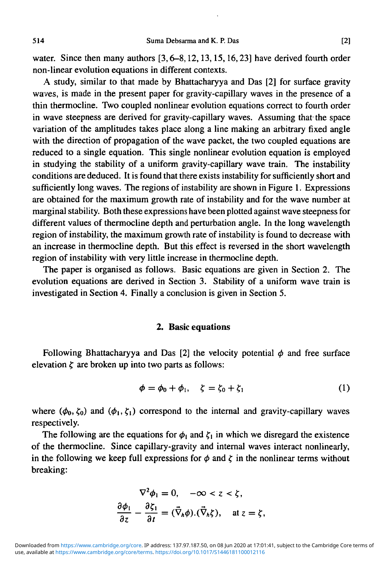water. Since then many authors [3, 6-8, 12, 13, 15, 16, 23] have derived fourth order non-linear evolution equations in different contexts.

A study, similar to that made by Bhattacharyya and Das [2] for surface gravity waves, is made in the present paper for gravity-capillary waves in the presence of a thin thermocline. Two coupled nonlinear evolution equations correct to fourth order in wave steepness are derived for gravity-capillary waves. Assuming that the space variation of the amplitudes takes place along a line making an arbitrary fixed angle with the direction of propagation of the wave packet, the two coupled equations are reduced to a single equation. This single nonlinear evolution equation is employed in studying the stability of a uniform gravity-capillary wave train. The instability conditions are deduced. It is found that there exists instability for sufficiently short and sufficiently long waves. The regions of instability are shown in Figure 1. Expressions are obtained for the maximum growth rate of instability and for the wave number at marginal stability. Both these expressions have been plotted against wave steepness for different values of thermocline depth and perturbation angle. In the long wavelength region of instability, the maximum growth rate of instability is found to decrease with an increase in thermocline depth. But this effect is reversed in the short wavelength region of instability with very little increase in thermocline depth.

The paper is organised as follows. Basic equations are given in Section 2. The evolution equations are derived in Section 3. Stability of a uniform wave train is investigated in Section 4. Finally a conclusion is given in Section 5.

#### **2. Basic equations**

Following Bhattacharyya and Das [2] the velocity potential  $\phi$  and free surface elevation  $\zeta$  are broken up into two parts as follows:

$$
\phi = \phi_0 + \phi_1, \quad \zeta = \zeta_0 + \zeta_1 \tag{1}
$$

where  $(\phi_0, \zeta_0)$  and  $(\phi_1, \zeta_1)$  correspond to the internal and gravity-capillary waves respectively.

The following are the equations for  $\phi_1$  and  $\zeta_1$  in which we disregard the existence of the thermocline. Since capillary-gravity and internal waves interact nonlinearly, in the following we keep full expressions for  $\phi$  and  $\zeta$  in the nonlinear terms without breaking:

$$
\nabla^2 \phi_1 = 0, \quad -\infty < z < \zeta,
$$
\n
$$
\frac{\partial \phi_1}{\partial z} - \frac{\partial \zeta_1}{\partial t} = (\vec{\nabla}_h \phi) . (\vec{\nabla}_h \zeta), \quad \text{at } z = \zeta,
$$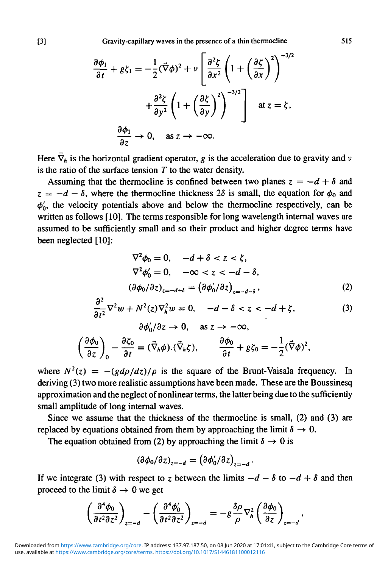[3] Gravity-capillary waves in the presence of a thin thermocline 515

$$
\frac{\partial \phi_1}{\partial t} + g\zeta_1 = -\frac{1}{2}(\vec{\nabla}\phi)^2 + \nu \left[\frac{\partial^2 \zeta}{\partial x^2} \left(1 + \left(\frac{\partial \zeta}{\partial x}\right)^2\right)^{-3/2} + \frac{\partial^2 \zeta}{\partial y^2} \left(1 + \left(\frac{\partial \zeta}{\partial y}\right)^2\right)^{-3/2}\right] \text{ at } z = \zeta,
$$

$$
\frac{\partial \phi_1}{\partial z} \to 0, \quad \text{as } z \to -\infty.
$$

Here  $\vec{\nabla}_h$  is the horizontal gradient operator, g is the acceleration due to gravity and  $\nu$ is the ratio of the surface tension *T* to the water density.

Assuming that the thermocline is confined between two planes  $z = -d + \delta$  and  $z = -d - \delta$ , where the thermocline thickness  $2\delta$  is small, the equation for  $\phi_0$  and  $\phi'_{0}$ , the velocity potentials above and below the thermocline respectively, can be written as follows [10]. The terms responsible for long wavelength internal waves are assumed to be sufficiently small and so their product and higher degree terms have been neglected [10]:

$$
\nabla^2 \phi_0 = 0, \quad -d + \delta < z < \zeta,
$$
\n
$$
\nabla^2 \phi'_0 = 0, \quad -\infty < z < -d - \delta,
$$
\n
$$
(\partial \phi_0 / \partial z)_{z=-d+\delta} = (\partial \phi'_0 / \partial z)_{z=-d-\delta}, \tag{2}
$$

$$
\frac{\partial^2}{\partial t^2} \nabla^2 w + N^2(z) \nabla_h^2 w = 0, \quad -d - \delta < z < -d + \zeta,\tag{3}
$$
\n
$$
\frac{\partial \phi_0}{\partial z} \to 0, \quad \text{as } z \to -\infty,
$$

$$
\left(\frac{\partial \phi_0}{\partial z}\right)_0 - \frac{\partial \zeta_0}{\partial t} = (\vec{\nabla}_h \phi) . (\vec{\nabla}_h \zeta), \qquad \frac{\partial \phi_0}{\partial t} + g \zeta_0 = -\frac{1}{2} (\vec{\nabla} \phi)^2
$$

where  $N^2(z) = -(gd\rho/dz)/\rho$  is the square of the Brunt-Vaisala frequency. In deriving (3) two more realistic assumptions have been made. These are the Boussinesq approximation and the neglect of nonlinear terms, the latter being due to the sufficiently small amplitude of long internal waves.

Since we assume that the thickness of the thermocline is small, (2) and (3) are replaced by equations obtained from them by approaching the limit  $\delta \rightarrow 0$ .

The equation obtained from (2) by approaching the limit  $\delta \rightarrow 0$  is

$$
\left(\partial\phi_0/\partial z\right)_{z=-d}=\left(\partial\phi'_0/\partial z\right)_{z=-d}
$$

If we integrate (3) with respect to z between the limits  $-d - \delta$  to  $-d + \delta$  and then proceed to the limit  $\delta \rightarrow 0$  we get

$$
\left(\frac{\partial^4 \phi_0}{\partial t^2 \partial z^2}\right)_{z=-d} - \left(\frac{\partial^4 \phi'_0}{\partial t^2 \partial z^2}\right)_{z=-d} = -g \frac{\delta \rho}{\rho} \nabla_h^2 \left(\frac{\partial \phi_0}{\partial z}\right)_{z=-d}
$$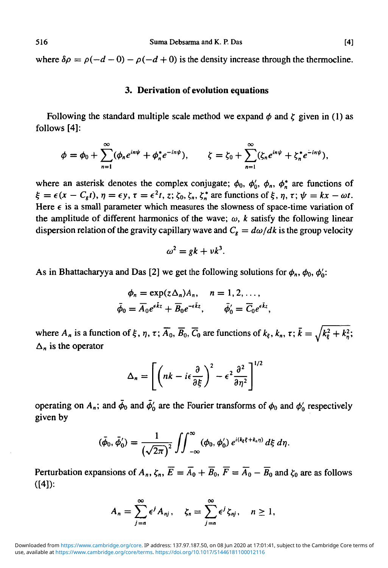where  $\delta \rho = \rho(-d-0) - \rho(-d+0)$  is the density increase through the thermocline.

#### **3. Derivation of evolution equations**

Following the standard multiple scale method we expand  $\phi$  and  $\zeta$  given in (1) as follows [4]:

$$
\phi=\phi_0+\sum_{n=1}^{\infty}(\phi_ne^{in\psi}+\phi_n^*e^{-in\psi}),\qquad \zeta=\zeta_0+\sum_{n=1}^{\infty}(\zeta_ne^{in\psi}+\zeta_n^*e^{-in\psi}),
$$

where an asterisk denotes the complex conjugate;  $\phi_0$ ,  $\phi'_0$ ,  $\phi_n$ ,  $\phi_n^*$  are functions of  $\xi = \epsilon(x - C_g t)$ ,  $\eta = \epsilon y$ ,  $\tau = \epsilon^2 t$ , z;  $\zeta_0$ ,  $\zeta_n$ ,  $\zeta_n^*$  are functions of  $\xi$ ,  $\eta$ ,  $\tau$ ;  $\psi = kx - \omega t$ . Here  $\epsilon$  is a small parameter which measures the slowness of space-time variation of the amplitude of different harmonics of the wave;  $\omega$ , k satisfy the following linear dispersion relation of the gravity capillary wave and  $C_g = d\omega/dk$  is the group velocity

$$
\omega^2 = gk + v k^3.
$$

As in Bhattacharyya and Das [2] we get the following solutions for  $\phi_n$ ,  $\phi_0$ ,  $\phi'_0$ :

$$
\phi_n = \exp(z\Delta_n)A_n, \quad n = 1, 2, \ldots,
$$
  

$$
\bar{\phi}_0 = \overline{A}_0 e^{\epsilon \overline{k} z} + \overline{B}_0 e^{-\epsilon \overline{k} z}, \qquad \bar{\phi}'_0 = \overline{C}_0 e^{\epsilon \overline{k} z},
$$

where  $A_n$  is a function of  $\xi$ ,  $\eta$ ,  $\tau$ ;  $\overline{A}_0$ ,  $\overline{B}_0$ ,  $\overline{C}_0$  are functions of  $k_\xi$ ,  $k_n$ ,  $\tau$ ;  $\overline{k} = \sqrt{k_\xi^2 + k_n^2}$ ;  $\Delta_n$  is the operator

$$
\Delta_n = \left[ \left( nk - i\epsilon \frac{\partial}{\partial \xi} \right)^2 - \epsilon^2 \frac{\partial^2}{\partial \eta^2} \right]^{1/2}
$$

operating on  $A_n$ ; and  $\bar{\phi}_0$  and  $\bar{\phi}'_0$  are the Fourier transforms of  $\phi_0$  and  $\phi'_0$  respectively given by

$$
(\bar{\phi}_0, \bar{\phi}'_0) = \frac{1}{(\sqrt{2\pi})^2} \iint_{-\infty}^{\infty} (\phi_0, \phi'_0) e^{i(k_{\xi} \xi + k_n \eta)} d\xi d\eta.
$$

Perturbation expansions of  $A_n$ ,  $\zeta_n$ ,  $\overline{E} = \overline{A_0} + \overline{B_0}$ ,  $\overline{F} = \overline{A_0} - \overline{B_0}$  and  $\zeta_0$  are as follows  $([4])$ :

$$
A_n = \sum_{j=n}^{\infty} \epsilon^j A_{nj}, \quad \zeta_n = \sum_{j=n}^{\infty} \epsilon^j \zeta_{nj}, \quad n \ge 1,
$$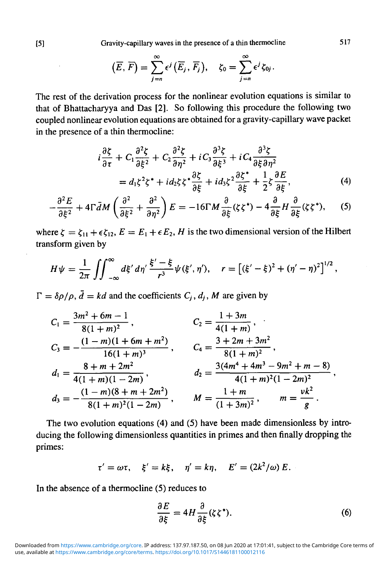[5] Gravity-capillary waves in the presence of a thin thermocline 517

$$
(\overline{E},\overline{F})=\sum_{j=n}^{\infty}\epsilon^{j}(\overline{E}_{j},\overline{F}_{j}),\quad \zeta_{0}=\sum_{j=n}^{\infty}\epsilon^{j}\zeta_{0j}.
$$

The rest of the derivation process for the nonlinear evolution equations is similar to that of Bhattacharyya and Das [2]. So following this procedure the following two coupled nonlinear evolution equations are obtained for a gravity-capillary wave packet in the presence of a thin thermocline:

$$
i\frac{\partial \zeta}{\partial \tau} + C_1 \frac{\partial^2 \zeta}{\partial \xi^2} + C_2 \frac{\partial^2 \zeta}{\partial \eta^2} + i C_3 \frac{\partial^3 \zeta}{\partial \xi^3} + i C_4 \frac{\partial^3 \zeta}{\partial \xi \partial \eta^2}
$$
  
=  $d_1 \zeta^2 \zeta^* + i d_2 \zeta \zeta^* \frac{\partial \zeta}{\partial \xi} + i d_3 \zeta^2 \frac{\partial \zeta^*}{\partial \xi} + \frac{1}{2} \zeta \frac{\partial E}{\partial \xi}$ , (4)

$$
-\frac{\partial^2 E}{\partial \xi^2} + 4\Gamma \bar{d}M \left( \frac{\partial^2}{\partial \xi^2} + \frac{\partial^2}{\partial \eta^2} \right) E = -16\Gamma M \frac{\partial}{\partial \xi} (\zeta \zeta^*) - 4 \frac{\partial}{\partial \xi} H \frac{\partial}{\partial \xi} (\zeta \zeta^*), \tag{5}
$$

where  $\zeta = \zeta_{11} + \epsilon \zeta_{12}$ ,  $E = E_1 + \epsilon E_2$ , *H* is the two dimensional version of the Hilbert transform given by

$$
H\psi = \frac{1}{2\pi} \iint_{-\infty}^{\infty} d\xi' d\eta' \frac{\xi' - \xi}{r^3} \psi(\xi', \eta'), \quad r = \left[ (\xi' - \xi)^2 + (\eta' - \eta)^2 \right]^{1/2},
$$

 $\Gamma = \delta \rho / \rho$ ,  $\bar{d} = kd$  and the coefficients  $C_i$ ,  $d_i$ , M are given by

$$
C_1 = \frac{3m^2 + 6m - 1}{8(1 + m)^2},
$$
  
\n
$$
C_2 = \frac{1 + 3m}{4(1 + m)},
$$
  
\n
$$
C_3 = -\frac{(1 - m)(1 + 6m + m^2)}{16(1 + m)^3},
$$
  
\n
$$
C_4 = \frac{3 + 2m + 3m^2}{8(1 + m)^2},
$$
  
\n
$$
d_1 = \frac{8 + m + 2m^2}{4(1 + m)(1 - 2m)},
$$
  
\n
$$
d_2 = \frac{3(4m^4 + 4m^3 - 9m^2 + m - 8)}{4(1 + m)^2(1 - 2m)^2},
$$
  
\n
$$
d_3 = -\frac{(1 - m)(8 + m + 2m^2)}{8(1 + m)^2(1 - 2m)},
$$
  
\n
$$
M = \frac{1 + m}{(1 + 3m)^2},
$$
  
\n
$$
m = \frac{vk^2}{g}.
$$

The two evolution equations (4) and (5) have been made dimensionless by introducing the following dimensionless quantities in primes and then finally dropping the primes:

$$
\tau'=\omega\tau, \quad \xi'=k\xi, \quad \eta'=k\eta, \quad E'=(2k^2/\omega) E.
$$

In the absence of a thermocline (5) reduces to

$$
\frac{\partial E}{\partial \xi} = 4H \frac{\partial}{\partial \xi} (\zeta \zeta^*). \tag{6}
$$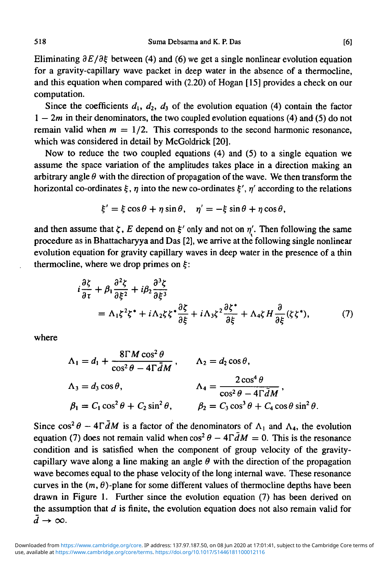Eliminating  $\partial E/\partial \xi$  between (4) and (6) we get a single nonlinear evolution equation for a gravity-capillary wave packet in deep water in the absence of a thermocline, and this equation when compared with (2.20) of Hogan [15] provides a check on our computation.

Since the coefficients  $d_1$ ,  $d_2$ ,  $d_3$  of the evolution equation (4) contain the factor  $1 - 2m$  in their denominators, the two coupled evolution equations (4) and (5) do not remain valid when  $m = 1/2$ . This corresponds to the second harmonic resonance, which was considered in detail by McGoldrick [20].

Now to reduce the two coupled equations (4) and (5) to a single equation we assume the space variation of the amplitudes takes place in a direction making an arbitrary angle  $\theta$  with the direction of propagation of the wave. We then transform the horizontal co-ordinates  $\xi$ ,  $\eta$  into the new co-ordinates  $\xi'$ ,  $\eta'$  according to the relations

$$
\xi' = \xi \cos \theta + \eta \sin \theta, \quad \eta' = -\xi \sin \theta + \eta \cos \theta,
$$

and then assume that  $\zeta$ , E depend on  $\xi'$  only and not on  $\eta'$ . Then following the same procedure as in Bhattacharyya and Das [2], we arrive at the following single nonlinear evolution equation for gravity capillary waves in deep water in the presence of a thin thermocline, where we drop primes on  $\xi$ :

$$
i\frac{\partial \zeta}{\partial \tau} + \beta_1 \frac{\partial^2 \zeta}{\partial \xi^2} + i\beta_2 \frac{\partial^3 \zeta}{\partial \xi^3}
$$
  
=  $\Lambda_1 \zeta^2 \zeta^* + i\Lambda_2 \zeta \zeta^* \frac{\partial \zeta}{\partial \xi} + i\Lambda_3 \zeta^2 \frac{\partial \zeta^*}{\partial \xi} + \Lambda_4 \zeta H \frac{\partial}{\partial \xi} (\zeta \zeta^*),$  (7)

where

$$
\Lambda_1 = d_1 + \frac{8\Gamma M \cos^2 \theta}{\cos^2 \theta - 4\Gamma \bar{d}M}, \qquad \Lambda_2 = d_2 \cos \theta,
$$
  

$$
\Lambda_3 = d_3 \cos \theta, \qquad \qquad \Lambda_4 = \frac{2\cos^4 \theta}{\cos^2 \theta - 4\Gamma \bar{d}M},
$$
  

$$
\beta_1 = C_1 \cos^2 \theta + C_2 \sin^2 \theta, \qquad \beta_2 = C_3 \cos^3 \theta + C_4 \cos \theta \sin^2 \theta.
$$

Since  $\cos^2 \theta - 4\overline{A}M$  is a factor of the denominators of  $\Lambda_1$  and  $\Lambda_4$ , the evolution equation (7) does not remain valid when  $\cos^2 \theta - 4\Gamma \bar{d}M = 0$ . This is the resonance condition and is satisfied when the component of group velocity of the gravitycapillary wave along a line making an angle  $\theta$  with the direction of the propagation wave becomes equal to the phase velocity of the long internal wave. These resonance curves in the  $(m, \theta)$ -plane for some different values of thermocline depths have been drawn in Figure 1. Further since the evolution equation (7) has been derived on the assumption that *d* is finite, the evolution equation does not also remain valid for  $\overline{d} \rightarrow \infty$ .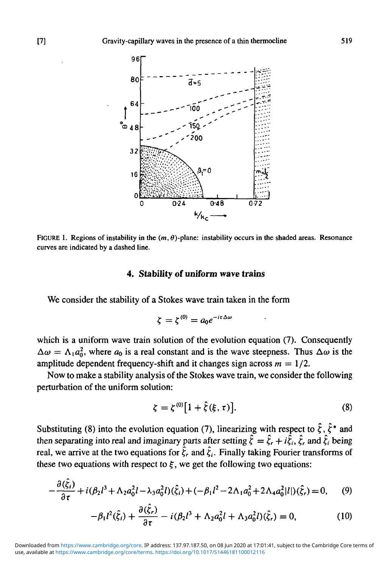

FIGURE 1. Regions of instability in the  $(m, \theta)$ -plane: instability occurs in the shaded areas. Resonance curves are indicated by a dashed line.

## **4. Stability of uniform wave trains**

We consider the stability of a Stokes wave train taken in the form

$$
\zeta = \zeta^{(0)} = a_0 e^{-i\tau \Delta \omega}
$$

which is a uniform wave train solution of the evolution equation (7). Consequently  $\Delta \omega = \Lambda_1 a_0^2$ , where  $a_0$  is a real constant and is the wave steepness. Thus  $\Delta \omega$  is the amplitude dependent frequency-shift and it changes sign across  $m = 1/2$ .

Now to make a stability analysis of the Stokes wave train, we consider the following perturbation of the uniform solution:

$$
\zeta = \zeta^{(0)} [1 + \hat{\zeta}(\xi, \tau)]. \tag{8}
$$

Substituting (8) into the evolution equation (7), linearizing with respect to  $\hat{\zeta}$ ,  $\hat{\zeta}^*$  and then separating into real and imaginary parts after setting  $\hat{\xi} = \hat{\xi}_r + i\hat{\xi}_i$ ,  $\hat{\xi}_r$  and  $\hat{\xi}_i$  being real, we arrive at the two equations for  $\hat{\zeta}_r$  and  $\hat{\zeta}_i$ . Finally taking Fourier transforms of these two equations with respect to  $\xi$ , we get the following two equations:

$$
-\frac{\partial(\hat{\zeta}_i)}{\partial \tau} + i(\beta_2 l^3 + \Lambda_2 a_0^2 l - \lambda_3 a_0^2 l)(\hat{\zeta}_i) + (-\beta_1 l^2 - 2\Lambda_1 a_0^2 + 2\Lambda_4 a_0^2 |l|)(\hat{\zeta}_r) = 0,\tag{9}
$$

$$
-\beta_1 l^2(\hat{\zeta}_i) + \frac{\partial(\hat{\zeta}_r)}{\partial \tau} - i(\beta_2 l^3 + \Lambda_2 a_0^2 l + \Lambda_3 a_0^2 l)(\hat{\zeta}_r) = 0, \qquad (10)
$$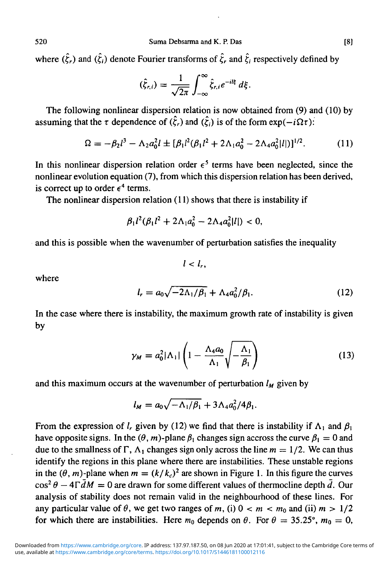where  $(\hat{\zeta}_r)$  and  $(\hat{\zeta}_i)$  denote Fourier transforms of  $\hat{\zeta}_r$  and  $\hat{\zeta}_i$  respectively defined by

$$
(\hat{\xi}_{r,i})=\frac{1}{\sqrt{2\pi}}\int_{-\infty}^{\infty}\hat{\xi}_{r,i}e^{-il\xi}\,d\xi.
$$

The following nonlinear dispersion relation is now obtained from (9) and (10) by assuming that the  $\tau$  dependence of  $(\hat{\zeta}_r)$  and  $(\hat{\zeta}_i)$  is of the form  $\exp(-i\Omega\tau)$ .

$$
\Omega = -\beta_2 l^3 - \Lambda_2 a_0^2 l \pm [\beta_1 l^2 (\beta_1 l^2 + 2\Lambda_1 a_0^2 - 2\Lambda_4 a_0^2 |l|)]^{1/2}.
$$
 (11)

In this nonlinear dispersion relation order  $\epsilon^5$  terms have been neglected, since the nonlinear evolution equation (7), from which this dispersion relation has been derived, is correct up to order  $\epsilon^4$  terms.

The nonlinear dispersion relation (11) shows that there is instability if

$$
\beta_1 l^2(\beta_1 l^2 + 2\Lambda_1 a_0^2 - 2\Lambda_4 a_0^2 |l|) < 0,
$$

and this is possible when the wavenumber of perturbation satisfies the inequality

 $l < l_{\rm r}$ .

where

$$
l_r = a_0 \sqrt{-2\Lambda_1/\beta_1} + \Lambda_4 a_0^2/\beta_1.
$$
 (12)

In the case where there is instability, the maximum growth rate of instability is given by

$$
\gamma_M = a_0^2 |\Lambda_1| \left( 1 - \frac{\Lambda_4 a_0}{\Lambda_1} \sqrt{-\frac{\Lambda_1}{\beta_1}} \right) \tag{13}
$$

and this maximum occurs at the wavenumber of perturbation  $l_M$  given by

$$
l_M = a_0 \sqrt{-\Lambda_1/\beta_1} + 3\Lambda_4 a_0^2/4\beta_1.
$$

From the expression of *l<sub>r</sub>* given by (12) we find that there is instability if  $\Lambda_1$  and  $\beta_1$ have opposite signs. In the  $(\theta, m)$ -plane  $\beta_1$  changes sign accross the curve  $\beta_1 = 0$  and due to the smallness of  $\Gamma$ ,  $\Lambda_1$  changes sign only across the line  $m = 1/2$ . We can thus identify the regions in this plane where there are instabilities. These unstable regions in the  $(\theta, m)$ -plane when  $m = (k/k_c)^2$  are shown in Figure 1. In this figure the curves  $\cos^2 \theta - 4\Gamma \bar{d}M = 0$  are drawn for some different values of thermocline depth  $\bar{d}$ . Our analysis of stability does not remain valid in the neighbourhood of these lines. For any particular value of  $\theta$ , we get two ranges of m, (i)  $0 < m < m_0$  and (ii)  $m > 1/2$ for which there are instabilities. Here  $m_0$  depends on  $\theta$ . For  $\theta = 35.25^{\circ}$ ,  $m_0 = 0$ ,

$$
^{[8]}
$$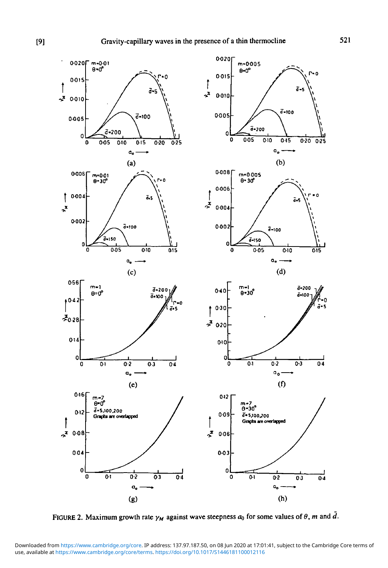

FIGURE 2. Maximum growth rate  $\gamma_M$  against wave steepness  $a_0$  for some values of  $\theta$ , m and  $\overline{d}$ .

use, available at <https://www.cambridge.org/core/terms>.<https://doi.org/10.1017/S1446181100012116> Downloaded from [https://www.cambridge.org/core.](https://www.cambridge.org/core) IP address: 137.97.187.50, on 08 Jun 2020 at 17:01:41, subject to the Cambridge Core terms of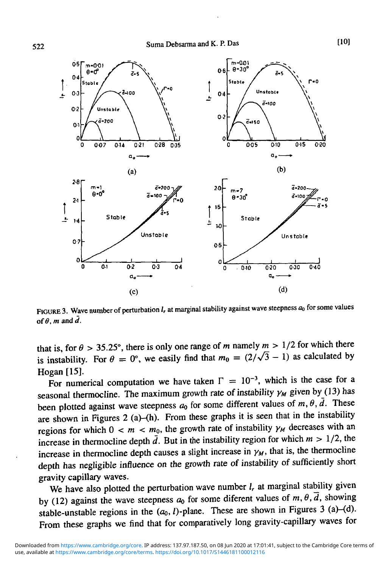

FIGURE 3. Wave number of perturbation *l<sub>r</sub>* at marginal stability against wave steepness  $a_0$  for some values of  $\theta$ , *m* and  $\overline{d}$ .

that is, for  $\theta > 35.25^{\circ}$ , there is only one range of m namely  $m > 1/2$  for which there is instability. For  $\theta = 0^{\circ}$ , we easily find that  $m_0 = (2/\sqrt{3} - 1)$  as calculated by Hogan [15].

For numerical computation we have taken  $\Gamma = 10^{-3}$ , which is the case for a seasonal thermocline. The maximum growth rate of instability  $\gamma_M$  given by (13) has been plotted against wave steepness  $a_0$  for some different values of  $m, \theta, \overline{d}$ . These are shown in Figures 2 (a)-(h). From these graphs it is seen that in the instability regions for which  $0 < m < m_0$ , the growth rate of instability  $\gamma_M$  decreases with an increase in thermocline depth  $\bar{d}$ . But in the instability region for which  $m > 1/2$ , the increase in thermocline depth causes a slight increase in  $\gamma_M$ , that is, the thermocline depth has negligible influence on the growth rate of instability of sufficiently short gravity capillary waves.

We have also plotted the perturbation wave number  $l_r$  at marginal stability given by (12) against the wave steepness  $a_0$  for some diferent values of  $m, \theta, \overline{d}$ , showing stable-unstable regions in the  $(a_0, l)$ -plane. These are shown in Figures 3 (a)-(d). From these graphs we find that for comparatively long gravity-capillary waves for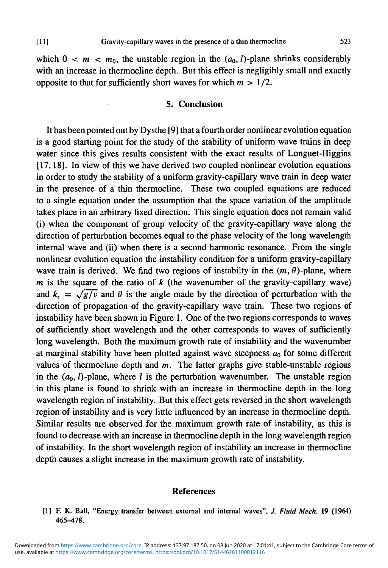which  $0 < m < m_0$ , the unstable region in the  $(a_0, l)$ -plane shrinks considerably with an increase in thermocline depth. But this effect is negligibly small and exactly opposite to that for sufficiently short waves for which *m >* 1/2.

### **5. Conclusion**

**It** has been pointed out by Dysthe [9] that a fourth order nonlinear evolution equation is a good starting point for the study of the stability of uniform wave trains in deep water since this gives results consistent with the exact results of Longuet-Higgins [17,18]. In view of this we have derived two coupled nonlinear evolution equations in order to study the stability of a uniform gravity-capillary wave train in deep water in the presence of a thin thermocline. These two coupled equations are reduced to a single equation under the assumption that the space variation of the amplitude takes place in an arbitrary fixed direction. This single equation does not remain valid (i) when the component of group velocity of the gravity-capillary wave along the direction of perturbation becomes equal to the phase velocity of the long wavelength internal wave and (ii) when there is a second harmonic resonance. From the single nonlinear evolution equation the instability condition for a uniform gravity-capillary wave train is derived. We find two regions of instabilty in the  $(m, \theta)$ -plane, where *m* is the square of the ratio of  $k$  (the wavenumber of the gravity-capillary wave) and  $k_c = \sqrt{g/v}$  and  $\theta$  is the angle made by the direction of perturbation with the direction of propagation of the gravity-capillary wave train. These two regions of instability have been shown in Figure 1. One of the two regions corresponds to waves of sufficiently short wavelength and the other corresponds to waves of sufficiently long wavelength. Both the maximum growth rate of instability and the wavenumber at marginal stability have been plotted against wave steepness  $a_0$  for some different values of thermocline depth and *m.* The latter graphs give stable-unstable regions in the  $(a_0, l)$ -plane, where l is the perturbation wavenumber. The unstable region in this plane is found to shrink with an increase in thermocline depth in the long wavelength region of instability. But this effect gets reversed in the short wavelength region of instability and is very little influenced by an increase in thermocline depth. Similar results are observed for the maximum growth rate of instability, as this is found to decrease with an increase in thermocline depth in the long wavelength region of instability. In the short wavelength region of instability an increase in thermocline depth causes a slight increase in the maximum growth rate of instability.

### **References**

[1] F. K. Ball, "Energy transfer between external and internal waves", *J. Fluid Mech.* 19 (1964) 465^178.